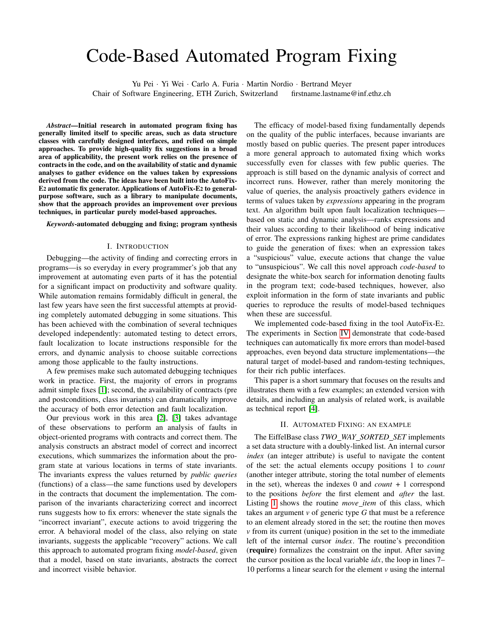# Code-Based Automated Program Fixing

Yu Pei · Yi Wei · Carlo A. Furia · Martin Nordio · Bertrand Meyer Chair of Software Engineering, ETH Zurich, Switzerland firstname.lastname@inf.ethz.ch

*Abstract*—Initial research in automated program fixing has generally limited itself to specific areas, such as data structure classes with carefully designed interfaces, and relied on simple approaches. To provide high-quality fix suggestions in a broad area of applicability, the present work relies on the presence of contracts in the code, and on the availability of static and dynamic analyses to gather evidence on the values taken by expressions derived from the code. The ideas have been built into the AutoFix-E2 automatic fix generator. Applications of AutoFix-E2 to generalpurpose software, such as a library to manipulate documents, show that the approach provides an improvement over previous techniques, in particular purely model-based approaches.

*Keywords*-automated debugging and fixing; program synthesis

#### I. INTRODUCTION

Debugging—the activity of finding and correcting errors in programs—is so everyday in every programmer's job that any improvement at automating even parts of it has the potential for a significant impact on productivity and software quality. While automation remains formidably difficult in general, the last few years have seen the first successful attempts at providing completely automated debugging in some situations. This has been achieved with the combination of several techniques developed independently: automated testing to detect errors, fault localization to locate instructions responsible for the errors, and dynamic analysis to choose suitable corrections among those applicable to the faulty instructions.

A few premises make such automated debugging techniques work in practice. First, the majority of errors in programs admit simple fixes [\[1\]](#page-3-0); second, the availability of contracts (pre and postconditions, class invariants) can dramatically improve the accuracy of both error detection and fault localization.

Our previous work in this area [\[2\]](#page-3-1), [\[3\]](#page-3-2) takes advantage of these observations to perform an analysis of faults in object-oriented programs with contracts and correct them. The analysis constructs an abstract model of correct and incorrect executions, which summarizes the information about the program state at various locations in terms of state invariants. The invariants express the values returned by *public queries* (functions) of a class—the same functions used by developers in the contracts that document the implementation. The comparison of the invariants characterizing correct and incorrect runs suggests how to fix errors: whenever the state signals the "incorrect invariant", execute actions to avoid triggering the error. A behavioral model of the class, also relying on state invariants, suggests the applicable "recovery" actions. We call this approach to automated program fixing *model-based*, given that a model, based on state invariants, abstracts the correct and incorrect visible behavior.

The efficacy of model-based fixing fundamentally depends on the quality of the public interfaces, because invariants are mostly based on public queries. The present paper introduces a more general approach to automated fixing which works successfully even for classes with few public queries. The approach is still based on the dynamic analysis of correct and incorrect runs. However, rather than merely monitoring the value of queries, the analysis proactively gathers evidence in terms of values taken by *expressions* appearing in the program text. An algorithm built upon fault localization techniques based on static and dynamic analysis—ranks expressions and their values according to their likelihood of being indicative of error. The expressions ranking highest are prime candidates to guide the generation of fixes: when an expression takes a "suspicious" value, execute actions that change the value to "unsuspicious". We call this novel approach *code-based* to designate the white-box search for information denoting faults in the program text; code-based techniques, however, also exploit information in the form of state invariants and public queries to reproduce the results of model-based techniques when these are successful.

We implemented code-based fixing in the tool AutoFix-E2. The experiments in Section [IV](#page-2-0) demonstrate that code-based techniques can automatically fix more errors than model-based approaches, even beyond data structure implementations—the natural target of model-based and random-testing techniques, for their rich public interfaces.

This paper is a short summary that focuses on the results and illustrates them with a few examples; an extended version with details, and including an analysis of related work, is available as technical report [\[4\]](#page-3-3).

#### II. AUTOMATED FIXING: AN EXAMPLE

The EiffelBase class *TWO WAY SORTED SET* implements a set data structure with a doubly-linked list. An internal cursor *index* (an integer attribute) is useful to navigate the content of the set: the actual elements occupy positions 1 to *count* (another integer attribute, storing the total number of elements in the set), whereas the indexes 0 and *count* + 1 correspond to the positions *before* the first element and *after* the last. Listing [1](#page-1-0) shows the routine *move item* of this class, which takes an argument *v* of generic type *G* that must be a reference to an element already stored in the set; the routine then moves *v* from its current (unique) position in the set to the immediate left of the internal cursor *index*. The routine's precondition (require) formalizes the constraint on the input. After saving the cursor position as the local variable *idx*, the loop in lines 7– 10 performs a linear search for the element *v* using the internal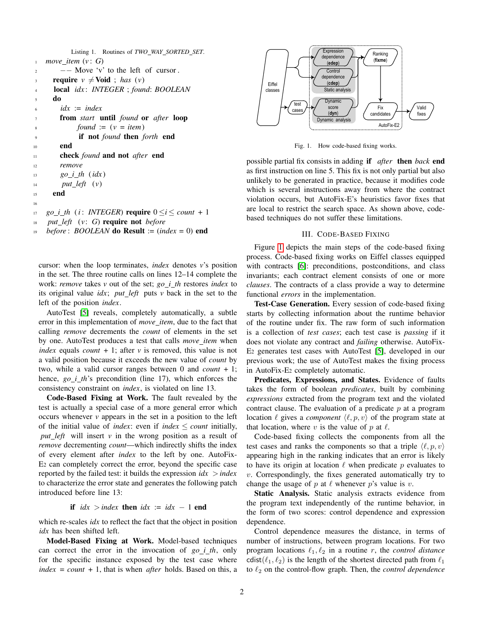```
Listing 1. Routines of TWO WAY SORTED SET.
<sub>1</sub> move item (v: G)</sub>
2 \quad -\quad Move 'v' to the left of cursor.
3 require v \neq \text{Void}; has (v)
      4 local idx : INTEGER ; found: BOOLEAN
     5 do
\iota idx := index
       7 from start until found or after loop
            found := (v = item)9 if not found then forth end
10 end
11 check found and not after end
12 remove
13 go_i_th (idx)14 put left (v)
15 end
16
17 go_i_th (i : INTEGER) require 0 \le i \le count + 1
```

```
18 put left (v: G) require not before
```

```
19 before : BOOLEAN do Result := (index = 0) end
```
cursor: when the loop terminates, *index* denotes *v*'s position in the set. The three routine calls on lines 12–14 complete the work: *remove* takes *v* out of the set; *go i th* restores *index* to its original value *idx*; *put left* puts *v* back in the set to the left of the position *index*.

AutoTest [\[5\]](#page-3-4) reveals, completely automatically, a subtle error in this implementation of *move item*, due to the fact that calling *remove* decrements the *count* of elements in the set by one. AutoTest produces a test that calls *move item* when *index* equals *count* + 1; after *v* is removed, this value is not a valid position because it exceeds the new value of *count* by two, while a valid cursor ranges between 0 and *count* + 1; hence, *go\_i\_th*'s precondition (line 17), which enforces the consistency constraint on *index*, is violated on line 13.

Code-Based Fixing at Work. The fault revealed by the test is actually a special case of a more general error which occurs whenever *v* appears in the set in a position to the left of the initial value of *index*: even if *index*  $\le$  *count* initially, *put left* will insert *v* in the wrong position as a result of *remove* decrementing *count*—which indirectly shifts the index of every element after *index* to the left by one. AutoFix-E<sup>2</sup> can completely correct the error, beyond the specific case reported by the failed test: it builds the expression  $idx$  > *index* to characterize the error state and generates the following patch introduced before line 13:

if  $idx$  > *index* then  $idx$  :=  $idx$  − 1 end

which re-scales *idx* to reflect the fact that the object in position *idx* has been shifted left.

Model-Based Fixing at Work. Model-based techniques can correct the error in the invocation of *go i th*, only for the specific instance exposed by the test case where *index* = *count* + 1, that is when *after* holds. Based on this, a



<span id="page-1-1"></span>

are local to restrict the search space. As shown above, codeviolation occurs, but AutoFix-E's heuristics favor fixes that Fig. 1. How code-based fixing works.<br>fix consists in adding **if** after<br>on on line 5. This fix is not only<br>generated in practice, because it<br>al instructions away from whe<br>s, but AutoFix-E's heuristics f<br>trict the search spa possible partial fix consists in adding if *after* then *back* end as first instruction on line 5. This fix is not only partial but also unlikely to be generated in practice, because it modifies code which is several instructions away from where the contract based techniques do not suffer these limitations.

## dependence **Faulty** III. CODE-BASED FIXING

invariants; each contract element consists of one or more -BASED FIXING<br>n steps of the code-based fixing process: code cased mining worms on Enter classes equipped<br>with contracts [\[6\]](#page-3-5): preconditions, postconditions, and class process. Code-based fixing works on Eiffel classes equipped Figure [1](#page-1-1) depicts the main steps of the code-based fixing<br>pcess. Code-based fixing works on Eiffel classes equipped *clauses*. The contracts of a class provide a way to determine functional *errors* in the implementation.

Test-Case Generation. Every session of code-based fixing starts by collecting information about the runtime behavior of the routine under fix. The raw form of such information is a collection of *test cases*; each test case is *passing* if it does not violate any contract and *failing* otherwise. AutoFix-E<sup>2</sup> generates test cases with AutoTest [\[5\]](#page-3-4), developed in our previous work; the use of AutoTest makes the fixing process in AutoFix-E<sup>2</sup> completely automatic.

Predicates, Expressions, and States. Evidence of faults takes the form of boolean *predicates*, built by combining *expressions* extracted from the program text and the violated contract clause. The evaluation of a predicate  $p$  at a program location  $\ell$  gives a *component*  $\langle \ell, p, v \rangle$  of the program state at that location, where v is the value of p at  $\ell$ .

Code-based fixing collects the components from all the test cases and ranks the components so that a triple  $\langle \ell, p, v \rangle$ appearing high in the ranking indicates that an error is likely to have its origin at location  $\ell$  when predicate p evaluates to  $v$ . Correspondingly, the fixes generated automatically try to change the usage of p at  $\ell$  whenever p's value is v.

Static Analysis. Static analysis extracts evidence from the program text independently of the runtime behavior, in the form of two scores: control dependence and expression dependence.

Control dependence measures the distance, in terms of number of instructions, between program locations. For two program locations  $\ell_1, \ell_2$  in a routine r, the *control distance* cdist( $(\ell_1, \ell_2)$ ) is the length of the shortest directed path from  $\ell_1$ to  $\ell_2$  on the control-flow graph. Then, the *control dependence*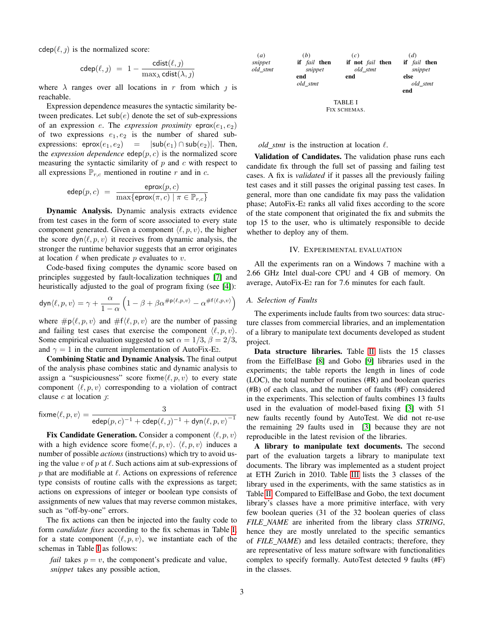$cdep(\ell, \eta)$  is the normalized score:

$$
\mathsf{cdep}(\ell,j) \; = \; 1 - \frac{\mathsf{cdist}(\ell,j)}{\max_{\lambda} \mathsf{cdist}(\lambda,j)}
$$

where  $\lambda$  ranges over all locations in r from which  $\jmath$  is reachable.

Expression dependence measures the syntactic similarity between predicates. Let  $\mathsf{sub}(e)$  denote the set of sub-expressions of an expression e. The *expression proximity* eprox $(e_1, e_2)$ of two expressions  $e_1, e_2$  is the number of shared subexpressions: eprox $(e_1, e_2)$  =  $|\textsf{sub}(e_1) \cap \textsf{sub}(e_2)|$ . Then, the *expression dependence* edep $(p, c)$  is the normalized score measuring the syntactic similarity of  $p$  and  $c$  with respect to all expressions  $\mathbb{P}_{r,c}$  mentioned in routine r and in c.

$$
\mathsf{edep}(p,c) \;=\; \frac{\mathsf{eprox}(p,c)}{\max\{\mathsf{eprox}(\pi,c)\;|\; \pi \in \mathbb{P}_{r,c}\}}
$$

Dynamic Analysis. Dynamic analysis extracts evidence from test cases in the form of score associated to every state component generated. Given a component  $\langle \ell, p, v \rangle$ , the higher the score dyn $\langle \ell, p, v \rangle$  it receives from dynamic analysis, the stronger the runtime behavior suggests that an error originates at location  $\ell$  when predicate p evaluates to v.

Code-based fixing computes the dynamic score based on principles suggested by fault-localization techniques [\[7\]](#page-3-6) and heuristically adjusted to the goal of program fixing (see [\[4\]](#page-3-3)):

$$
\text{dyn}\langle \ell,p,v\rangle=\gamma+\frac{\alpha}{1-\alpha}\left(1-\beta+\beta\alpha^{\#\text{p}\langle \ell,p,v\rangle}-\alpha^{\#\text{f}\langle \ell,p,v\rangle}\right)
$$

where  $\#p\langle \ell, p, v \rangle$  and  $\#f\langle \ell, p, v \rangle$  are the number of passing and failing test cases that exercise the component  $\langle \ell, p, v \rangle$ . Some empirical evaluation suggested to set  $\alpha = 1/3$ ,  $\beta = 2/3$ , and  $\gamma = 1$  in the current implementation of AutoFix-E2.

Combining Static and Dynamic Analysis. The final output of the analysis phase combines static and dynamic analysis to assign a "suspiciousness" score fixme $\langle \ell, p, v \rangle$  to every state component  $\langle \ell, p, v \rangle$  corresponding to a violation of contract clause  $c$  at location  $\hat{y}$ :

$$
\mathrm{fixme}\langle \ell,p,v\rangle=\frac{3}{\mathrm{edep}(p,c)^{-1}+\mathrm{cdep}(\ell,j)^{-1}+\mathrm{dyn}\langle \ell,p,v\rangle^{-1}}
$$

Fix Candidate Generation. Consider a component  $\langle \ell, p, v \rangle$ with a high evidence score fixme $\langle \ell, p, v \rangle$ .  $\langle \ell, p, v \rangle$  induces a number of possible *actions* (instructions) which try to avoid using the value v of p at  $\ell$ . Such actions aim at sub-expressions of p that are modifiable at  $\ell$ . Actions on expressions of reference type consists of routine calls with the expressions as target; actions on expressions of integer or boolean type consists of assignments of new values that may reverse common mistakes, such as "off-by-one" errors.

The fix actions can then be injected into the faulty code to form *candidate fixes* according to the fix schemas in Table [I;](#page-2-1) for a state component  $\langle \ell, p, v \rangle$ , we instantiate each of the schemas in Table [I](#page-2-1) as follows:

*fail* takes  $p = v$ , the component's predicate and value, *snippet* takes any possible action,



#### <span id="page-2-1"></span>*old\_stmt* is the instruction at location  $\ell$ .

Validation of Candidates. The validation phase runs each candidate fix through the full set of passing and failing test cases. A fix is *validated* if it passes all the previously failing test cases and it still passes the original passing test cases. In general, more than one candidate fix may pass the validation phase; AutoFix-E2 ranks all valid fixes according to the score of the state component that originated the fix and submits the top 15 to the user, who is ultimately responsible to decide whether to deploy any of them.

#### IV. EXPERIMENTAL EVALUATION

<span id="page-2-0"></span>All the experiments ran on a Windows 7 machine with a 2.66 GHz Intel dual-core CPU and 4 GB of memory. On average, AutoFix-E<sup>2</sup> ran for 7.6 minutes for each fault.

#### *A. Selection of Faults*

(*a*)

The experiments include faults from two sources: data structure classes from commercial libraries, and an implementation of a library to manipulate text documents developed as student project.

Data structure libraries. Table [II](#page-3-7) lists the 15 classes from the EiffelBase [\[8\]](#page-3-8) and Gobo [\[9\]](#page-3-9) libraries used in the experiments; the table reports the length in lines of code (LOC), the total number of routines (#R) and boolean queries (#B) of each class, and the number of faults (#F) considered in the experiments. This selection of faults combines 13 faults used in the evaluation of model-based fixing [\[3\]](#page-3-2) with 51 new faults recently found by AutoTest. We did not re-use the remaining 29 faults used in [\[3\]](#page-3-2) because they are not reproducible in the latest revision of the libraries.

A library to manipulate text documents. The second part of the evaluation targets a library to manipulate text documents. The library was implemented as a student project at ETH Zurich in 2010. Table [III](#page-3-10) lists the 3 classes of the library used in the experiments, with the same statistics as in Table [II.](#page-3-7) Compared to EiffelBase and Gobo, the text document library's classes have a more primitive interface, with very few boolean queries (31 of the 32 boolean queries of class *FILE NAME* are inherited from the library class *STRING*, hence they are mostly unrelated to the specific semantics of *FILE NAME*) and less detailed contracts; therefore, they are representative of less mature software with functionalities complex to specify formally. AutoTest detected 9 faults (#F) in the classes.